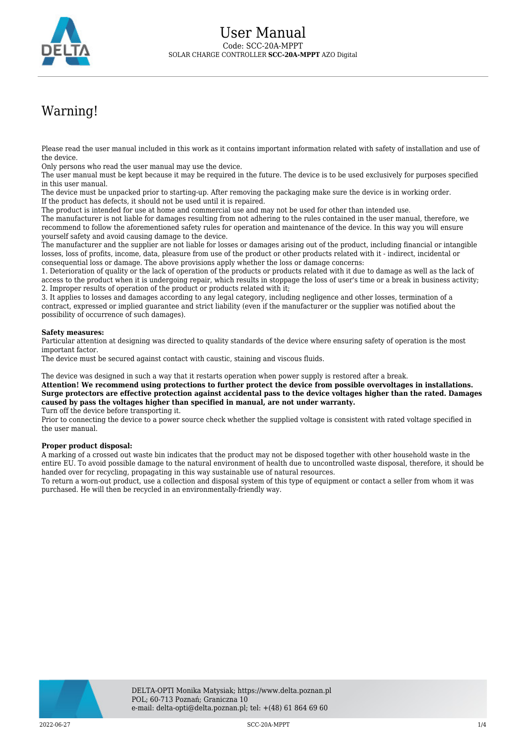

## Warning!

Please read the user manual included in this work as it contains important information related with safety of installation and use of the device.

Only persons who read the user manual may use the device.

The user manual must be kept because it may be required in the future. The device is to be used exclusively for purposes specified in this user manual.

The device must be unpacked prior to starting-up. After removing the packaging make sure the device is in working order. If the product has defects, it should not be used until it is repaired.

The product is intended for use at home and commercial use and may not be used for other than intended use.

The manufacturer is not liable for damages resulting from not adhering to the rules contained in the user manual, therefore, we recommend to follow the aforementioned safety rules for operation and maintenance of the device. In this way you will ensure yourself safety and avoid causing damage to the device.

The manufacturer and the supplier are not liable for losses or damages arising out of the product, including financial or intangible losses, loss of profits, income, data, pleasure from use of the product or other products related with it - indirect, incidental or consequential loss or damage. The above provisions apply whether the loss or damage concerns:

1. Deterioration of quality or the lack of operation of the products or products related with it due to damage as well as the lack of access to the product when it is undergoing repair, which results in stoppage the loss of user's time or a break in business activity; 2. Improper results of operation of the product or products related with it;

3. It applies to losses and damages according to any legal category, including negligence and other losses, termination of a contract, expressed or implied guarantee and strict liability (even if the manufacturer or the supplier was notified about the possibility of occurrence of such damages).

## **Safety measures:**

Particular attention at designing was directed to quality standards of the device where ensuring safety of operation is the most important factor.

The device must be secured against contact with caustic, staining and viscous fluids.

The device was designed in such a way that it restarts operation when power supply is restored after a break.

**Attention! We recommend using protections to further protect the device from possible overvoltages in installations. Surge protectors are effective protection against accidental pass to the device voltages higher than the rated. Damages caused by pass the voltages higher than specified in manual, are not under warranty.** Turn off the device before transporting it.

Prior to connecting the device to a power source check whether the supplied voltage is consistent with rated voltage specified in the user manual.

## **Proper product disposal:**

A marking of a crossed out waste bin indicates that the product may not be disposed together with other household waste in the entire EU. To avoid possible damage to the natural environment of health due to uncontrolled waste disposal, therefore, it should be handed over for recycling, propagating in this way sustainable use of natural resources.

To return a worn-out product, use a collection and disposal system of this type of equipment or contact a seller from whom it was purchased. He will then be recycled in an environmentally-friendly way.



2022-06-27 SCC-20A-MPPT 1/4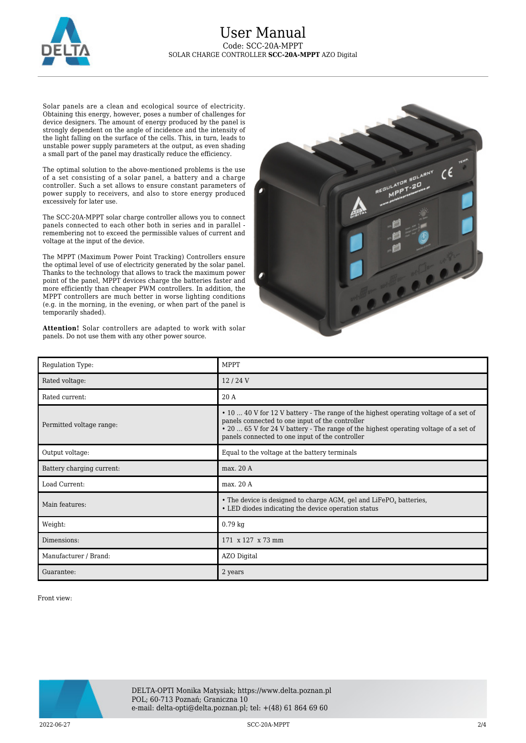

Solar panels are a clean and ecological source of electricity. Obtaining this energy, however, poses a number of challenges for device designers. The amount of energy produced by the panel is strongly dependent on the angle of incidence and the intensity of the light falling on the surface of the cells. This, in turn, leads to unstable power supply parameters at the output, as even shading a small part of the panel may drastically reduce the efficiency.

The optimal solution to the above-mentioned problems is the use of a set consisting of a solar panel, a battery and a charge controller. Such a set allows to ensure constant parameters of power supply to receivers, and also to store energy produced excessively for later use.

The SCC-20A-MPPT solar charge controller allows you to connect panels connected to each other both in series and in parallel remembering not to exceed the permissible values of current and voltage at the input of the device.

The MPPT (Maximum Power Point Tracking) Controllers ensure the optimal level of use of electricity generated by the solar panel. Thanks to the technology that allows to track the maximum power point of the panel, MPPT devices charge the batteries faster and more efficiently than cheaper PWM controllers. In addition, the MPPT controllers are much better in worse lighting conditions (e.g. in the morning, in the evening, or when part of the panel is temporarily shaded).

**Attention!** Solar controllers are adapted to work with solar panels. Do not use them with any other power source.



| Regulation Type:          | <b>MPPT</b>                                                                                                                                                                                                                                                                        |
|---------------------------|------------------------------------------------------------------------------------------------------------------------------------------------------------------------------------------------------------------------------------------------------------------------------------|
| Rated voltage:            | 12/24V                                                                                                                                                                                                                                                                             |
| Rated current:            | 20A                                                                                                                                                                                                                                                                                |
| Permitted voltage range:  | • 10  40 V for 12 V battery - The range of the highest operating voltage of a set of<br>panels connected to one input of the controller<br>• 20  65 V for 24 V battery - The range of the highest operating voltage of a set of<br>panels connected to one input of the controller |
| Output voltage:           | Equal to the voltage at the battery terminals                                                                                                                                                                                                                                      |
| Battery charging current: | max. 20 A                                                                                                                                                                                                                                                                          |
| Load Current:             | max. 20 A                                                                                                                                                                                                                                                                          |
| Main features:            | • The device is designed to charge AGM, gel and LiFePO <sub>4</sub> batteries,<br>• LED diodes indicating the device operation status                                                                                                                                              |
| Weight:                   | $0.79$ kg                                                                                                                                                                                                                                                                          |
| Dimensions:               | 171 x 127 x 73 mm                                                                                                                                                                                                                                                                  |
| Manufacturer / Brand:     | AZO Digital                                                                                                                                                                                                                                                                        |
| Guarantee:                | 2 years                                                                                                                                                                                                                                                                            |

Front view:



2022-06-27 SCC-20A-MPPT 2/4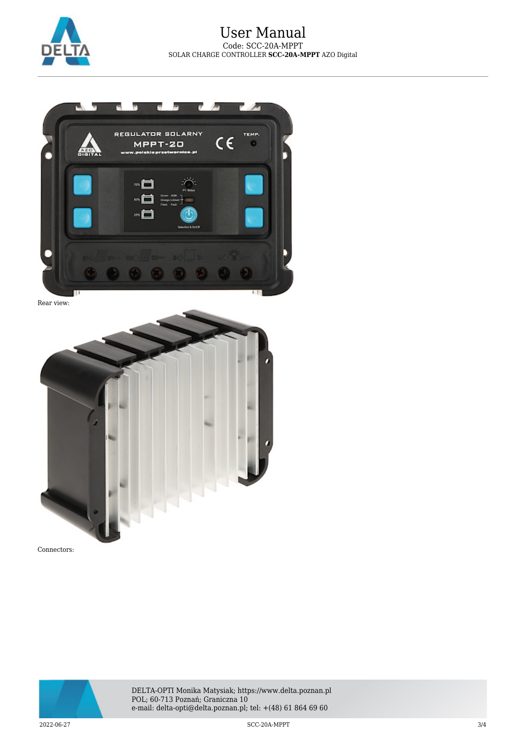



Rear view:





DELTA-OPTI Monika Matysiak; https://www.delta.poznan.pl POL; 60-713 Poznań; Graniczna 10 e-mail: delta-opti@delta.poznan.pl; tel: +(48) 61 864 69 60

2022-06-27 SCC-20A-MPPT 3/4